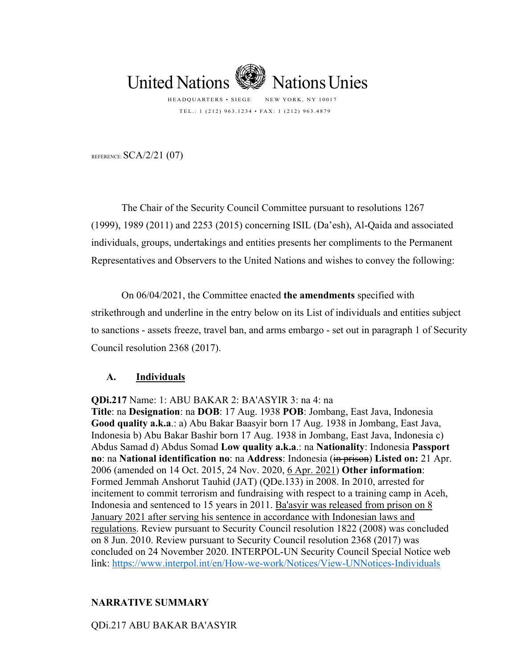

TEL.: 1 (212) 963.1234 • FAX: 1 (212) 963.4879

REFERENCE:  $SCA/2/21$  (07)

The Chair of the Security Council Committee pursuant to resolutions 1267 (1999), 1989 (2011) and 2253 (2015) concerning ISIL (Da'esh), Al-Qaida and associated individuals, groups, undertakings and entities presents her compliments to the Permanent Representatives and Observers to the United Nations and wishes to convey the following:

On 06/04/2021, the Committee enacted **the amendments** specified with strikethrough and underline in the entry below on its List of individuals and entities subject to sanctions - assets freeze, travel ban, and arms embargo - set out in paragraph 1 of Security Council resolution 2368 (2017).

## **A. Individuals**

**QDi.217** Name: 1: ABU BAKAR 2: BA'ASYIR 3: na 4: na

**Title**: na **Designation**: na **DOB**: 17 Aug. 1938 **POB**: Jombang, East Java, Indonesia **Good quality a.k.a**.: a) Abu Bakar Baasyir born 17 Aug. 1938 in Jombang, East Java, Indonesia b) Abu Bakar Bashir born 17 Aug. 1938 in Jombang, East Java, Indonesia c) Abdus Samad d) Abdus Somad **Low quality a.k.a**.: na **Nationality**: Indonesia **Passport no**: na **National identification no**: na **Address**: Indonesia (in prison) **Listed on:** 21 Apr. 2006 (amended on 14 Oct. 2015, 24 Nov. 2020, 6 Apr. 2021) **Other information**: Formed Jemmah Anshorut Tauhid (JAT) (QDe.133) in 2008. In 2010, arrested for incitement to commit terrorism and fundraising with respect to a training camp in Aceh, Indonesia and sentenced to 15 years in 2011. Ba'asyir was released from prison on 8 January 2021 after serving his sentence in accordance with Indonesian laws and regulations. Review pursuant to Security Council resolution 1822 (2008) was concluded on 8 Jun. 2010. Review pursuant to Security Council resolution 2368 (2017) was concluded on 24 November 2020. INTERPOL-UN Security Council Special Notice web link:<https://www.interpol.int/en/How-we-work/Notices/View-UNNotices-Individuals>

# **NARRATIVE SUMMARY**

QDi.217 ABU BAKAR BA'ASYIR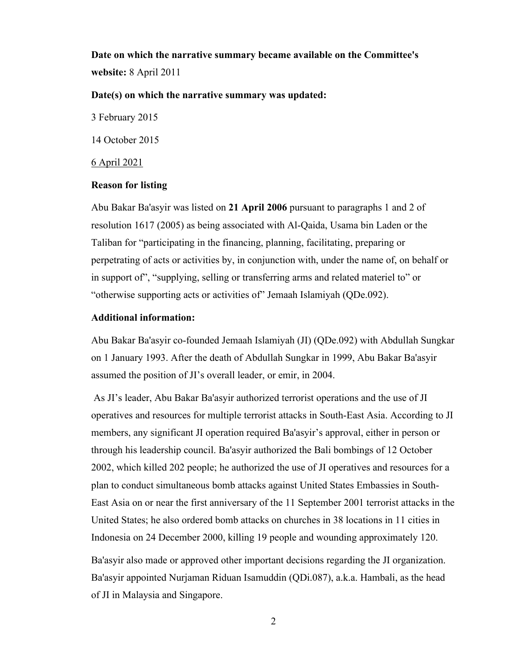**Date on which the narrative summary became available on the Committee's website:** 8 April 2011

## **Date(s) on which the narrative summary was updated:**

3 February 2015

14 October 2015

6 April 2021

#### **Reason for listing**

Abu Bakar Ba'asyir was listed on **21 April 2006** pursuant to paragraphs 1 and 2 of resolution 1617 (2005) as being associated with Al-Qaida, Usama bin Laden or the Taliban for "participating in the financing, planning, facilitating, preparing or perpetrating of acts or activities by, in conjunction with, under the name of, on behalf or in support of", "supplying, selling or transferring arms and related materiel to" or "otherwise supporting acts or activities of" Jemaah Islamiyah (QDe.092).

### **Additional information:**

Abu Bakar Ba'asyir co-founded Jemaah Islamiyah (JI) (QDe.092) with Abdullah Sungkar on 1 January 1993. After the death of Abdullah Sungkar in 1999, Abu Bakar Ba'asyir assumed the position of JI's overall leader, or emir, in 2004.

As JI's leader, Abu Bakar Ba'asyir authorized terrorist operations and the use of JI operatives and resources for multiple terrorist attacks in South-East Asia. According to JI members, any significant JI operation required Ba'asyir's approval, either in person or through his leadership council. Ba'asyir authorized the Bali bombings of 12 October 2002, which killed 202 people; he authorized the use of JI operatives and resources for a plan to conduct simultaneous bomb attacks against United States Embassies in South-East Asia on or near the first anniversary of the 11 September 2001 terrorist attacks in the United States; he also ordered bomb attacks on churches in 38 locations in 11 cities in Indonesia on 24 December 2000, killing 19 people and wounding approximately 120.

Ba'asyir also made or approved other important decisions regarding the JI organization. Ba'asyir appointed Nurjaman Riduan Isamuddin (QDi.087), a.k.a. Hambali, as the head of JI in Malaysia and Singapore.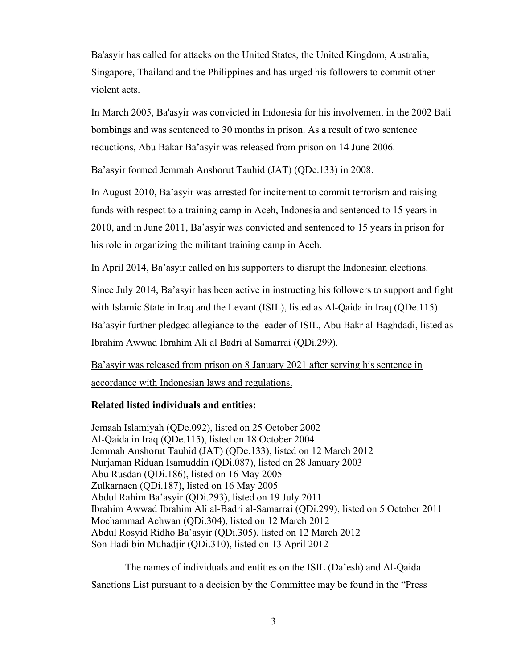Ba'asyir has called for attacks on the United States, the United Kingdom, Australia, Singapore, Thailand and the Philippines and has urged his followers to commit other violent acts.

In March 2005, Ba'asyir was convicted in Indonesia for his involvement in the 2002 Bali bombings and was sentenced to 30 months in prison. As a result of two sentence reductions, Abu Bakar Ba'asyir was released from prison on 14 June 2006.

Ba'asyir formed Jemmah Anshorut Tauhid (JAT) (QDe.133) in 2008.

In August 2010, Ba'asyir was arrested for incitement to commit terrorism and raising funds with respect to a training camp in Aceh, Indonesia and sentenced to 15 years in 2010, and in June 2011, Ba'asyir was convicted and sentenced to 15 years in prison for his role in organizing the militant training camp in Aceh.

In April 2014, Ba'asyir called on his supporters to disrupt the Indonesian elections.

Since July 2014, Ba'asyir has been active in instructing his followers to support and fight with Islamic State in Iraq and the Levant (ISIL), listed as Al-Qaida in Iraq (QDe.115). Ba'asyir further pledged allegiance to the leader of ISIL, Abu Bakr al-Baghdadi, listed as Ibrahim Awwad Ibrahim Ali al Badri al Samarrai (QDi.299).

Ba'asyir was released from prison on 8 January 2021 after serving his sentence in accordance with Indonesian laws and regulations.

## **Related listed individuals and entities:**

Jemaah Islamiyah (QDe.092), listed on 25 October 2002 Al-Qaida in Iraq (QDe.115), listed on 18 October 2004 Jemmah Anshorut Tauhid (JAT) (QDe.133), listed on 12 March 2012 Nurjaman Riduan Isamuddin (QDi.087), listed on 28 January 2003 Abu Rusdan (QDi.186), listed on 16 May 2005 Zulkarnaen (QDi.187), listed on 16 May 2005 Abdul Rahim Ba'asyir (QDi.293), listed on 19 July 2011 Ibrahim Awwad Ibrahim Ali al-Badri al-Samarrai (QDi.299), listed on 5 October 2011 Mochammad Achwan (QDi.304), listed on 12 March 2012 Abdul Rosyid Ridho Ba'asyir (QDi.305), listed on 12 March 2012 Son Hadi bin Muhadjir (QDi.310), listed on 13 April 2012

The names of individuals and entities on the ISIL (Da'esh) and Al-Qaida Sanctions List pursuant to a decision by the Committee may be found in the "Press